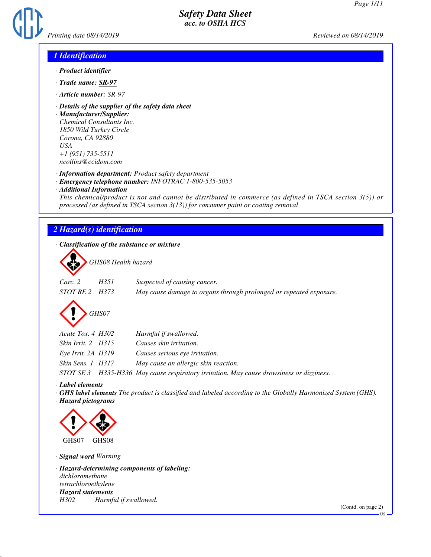

### *1 Identification*

- *· Product identifier*
- *· Trade name: SR-97*
- *· Article number: SR-97*
- *· Details of the supplier of the safety data sheet*

*· Manufacturer/Supplier: Chemical Consultants Inc. 1850 Wild Turkey Circle Corona, CA 92880 USA +1 (951) 735-5511 ncollins@ccidom.com*

*· Information department: Product safety department*

- *· Emergency telephone number: INFOTRAC 1-800-535-5053*
- *· Additional Information*

*This chemical/product is not and cannot be distributed in commerce (as defined in TSCA section 3(5)) or processed (as defined in TSCA section 3(13)) for consumer paint or coating removal*

# *2 Hazard(s) identification*

*· Classification of the substance or mixture*

d~*GHS08 Health hazard*

| $\sim$         |      |                                                                    |
|----------------|------|--------------------------------------------------------------------|
| Carc. 2        | H351 | Suspected of causing cancer.                                       |
| STOT RE 2 H373 |      | May cause damage to organs through prolonged or repeated exposure. |
|                |      |                                                                    |



| Acute Tox. 4 H302      | Harmful if swallowed.                                                      |
|------------------------|----------------------------------------------------------------------------|
| Skin Irrit. 2 H315     | Causes skin irritation.                                                    |
| $Eye$ Irrit. 2A $H319$ | Causes serious eye irritation.                                             |
| Skin Sens. 1 H317      | May cause an allergic skin reaction.                                       |
|                        | CTOT CE 2 LIDE IIDE May cause nominatom invitation May cause duousiness on |

*STOT SE 3 H335-H336 May cause respiratory irritation. May cause drowsiness or dizziness.*

*· Label elements*

*· GHS label elements The product is classified and labeled according to the Globally Harmonized System (GHS). · Hazard pictograms*



*· Signal word Warning*

*· Hazard-determining components of labeling: dichloromethane tetrachloroethylene · Hazard statements*

*H302 Harmful if swallowed.*

(Contd. on page 2)

US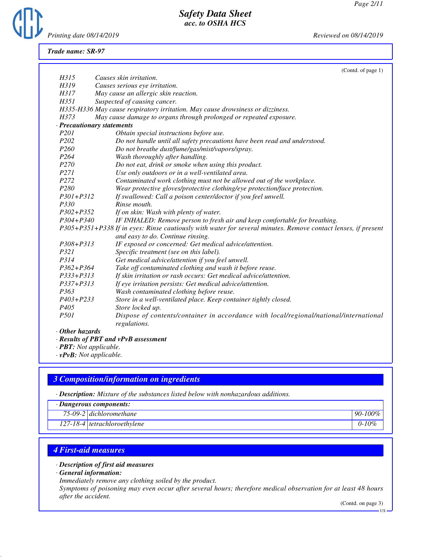

*Trade name: SR-97*

|                  | (Contd. of page 1)                                                                                            |
|------------------|---------------------------------------------------------------------------------------------------------------|
| H315             | Causes skin irritation.                                                                                       |
| H319             | Causes serious eye irritation.                                                                                |
| H317             | May cause an allergic skin reaction.                                                                          |
| H351             | Suspected of causing cancer.                                                                                  |
|                  | H335-H336 May cause respiratory irritation. May cause drowsiness or dizziness.                                |
| H373             | May cause damage to organs through prolonged or repeated exposure.                                            |
|                  | · Precautionary statements                                                                                    |
| P <sub>201</sub> | Obtain special instructions before use.                                                                       |
| P <sub>202</sub> | Do not handle until all safety precautions have been read and understood.                                     |
| P <sub>260</sub> | Do not breathe dust/fume/gas/mist/vapors/spray.                                                               |
| P <sub>264</sub> | Wash thoroughly after handling.                                                                               |
| P270             | Do not eat, drink or smoke when using this product.                                                           |
| P271             | Use only outdoors or in a well-ventilated area.                                                               |
| P272             | Contaminated work clothing must not be allowed out of the workplace.                                          |
| P280             | Wear protective gloves/protective clothing/eye protection/face protection.                                    |
| $P301 + P312$    | If swallowed: Call a poison center/doctor if you feel unwell.                                                 |
| P330             | Rinse mouth.                                                                                                  |
| $P302 + P352$    | If on skin: Wash with plenty of water.                                                                        |
| $P304 + P340$    | IF INHALED: Remove person to fresh air and keep comfortable for breathing.                                    |
|                  | P305+P351+P338 If in eyes: Rinse cautiously with water for several minutes. Remove contact lenses, if present |
|                  | and easy to do. Continue rinsing.                                                                             |
| $P308 + P313$    | IF exposed or concerned: Get medical advice/attention.                                                        |
| P321             | Specific treatment (see on this label).                                                                       |
| P314             | Get medical advice/attention if you feel unwell.                                                              |
| P362+P364        | Take off contaminated clothing and wash it before reuse.                                                      |
| P333+P313        | If skin irritation or rash occurs: Get medical advice/attention.                                              |
| $P337 + P313$    | If eye irritation persists: Get medical advice/attention.                                                     |
| P363             | Wash contaminated clothing before reuse.                                                                      |
| $P403 + P233$    | Store in a well-ventilated place. Keep container tightly closed.                                              |
| P <sub>405</sub> | Store locked up.                                                                                              |
| <i>P501</i>      | Dispose of contents/container in accordance with local/regional/national/international                        |
|                  | regulations.                                                                                                  |
| $O$ thon haranda |                                                                                                               |

- *· Other hazards*
- *· Results of PBT and vPvB assessment*
- *· PBT: Not applicable.*
- *· vPvB: Not applicable.*

## *3 Composition/information on ingredients*

*· Description: Mixture of the substances listed below with nonhazardous additions.*

#### *· Dangerous components:*

| 75-09-2 dichloromethane | 90-100% |
|-------------------------|---------|
|-------------------------|---------|

*127-18-4 tetrachloroethylene 0-10%*

### *4 First-aid measures*

#### *· Description of first aid measures*

*· General information:*

*Immediately remove any clothing soiled by the product.*

*Symptoms of poisoning may even occur after several hours; therefore medical observation for at least 48 hours after the accident.*

(Contd. on page 3)

US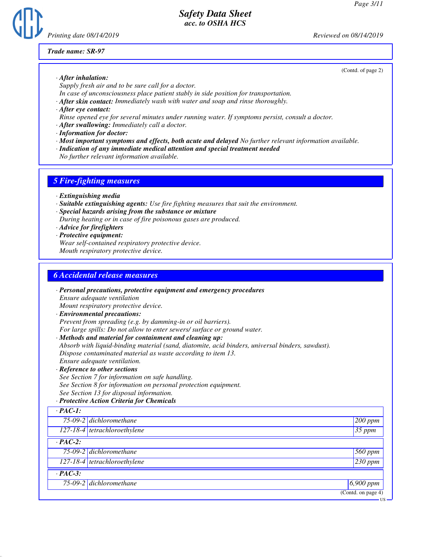

#### *Trade name: SR-97*

(Contd. of page 2)

- *· After inhalation: Supply fresh air and to be sure call for a doctor.*
- *In case of unconsciousness place patient stably in side position for transportation.*
- *· After skin contact: Immediately wash with water and soap and rinse thoroughly.*
- *· After eye contact:*
- *Rinse opened eye for several minutes under running water. If symptoms persist, consult a doctor.*
- *· After swallowing: Immediately call a doctor.*
- *· Information for doctor:*
- *· Most important symptoms and effects, both acute and delayed No further relevant information available.*
- *· Indication of any immediate medical attention and special treatment needed*
- *No further relevant information available.*

# *5 Fire-fighting measures*

- *· Extinguishing media*
- *· Suitable extinguishing agents: Use fire fighting measures that suit the environment.*
- *· Special hazards arising from the substance or mixture During heating or in case of fire poisonous gases are produced.*
- *· Advice for firefighters*
- *· Protective equipment: Wear self-contained respiratory protective device. Mouth respiratory protective device.*

# *6 Accidental release measures*

|                | · Personal precautions, protective equipment and emergency procedures                            |                   |
|----------------|--------------------------------------------------------------------------------------------------|-------------------|
|                | Ensure adequate ventilation                                                                      |                   |
|                | Mount respiratory protective device.                                                             |                   |
|                | · Environmental precautions:                                                                     |                   |
|                | Prevent from spreading (e.g. by damming-in or oil barriers).                                     |                   |
|                | For large spills: Do not allow to enter sewers/ surface or ground water.                         |                   |
|                | · Methods and material for containment and cleaning up:                                          |                   |
|                | Absorb with liquid-binding material (sand, diatomite, acid binders, universal binders, sawdust). |                   |
|                | Dispose contaminated material as waste according to item 13.                                     |                   |
|                | Ensure adequate ventilation.                                                                     |                   |
|                | · Reference to other sections                                                                    |                   |
|                | See Section 7 for information on safe handling.                                                  |                   |
|                | See Section 8 for information on personal protection equipment.                                  |                   |
|                | See Section 13 for disposal information.                                                         |                   |
|                | · Protective Action Criteria for Chemicals                                                       |                   |
| $\cdot$ PAC-1: |                                                                                                  |                   |
|                | 75-09-2 dichloromethane                                                                          | 200 ppm           |
|                | $127-18-4$ tetrachloroethylene                                                                   | $35$ ppm          |
| $\cdot$ PAC-2: |                                                                                                  |                   |
|                | $75-09-2$ dichloromethane                                                                        | 560 ppm           |
|                | $127-18-4$ tetrachloroethylene                                                                   | $230$ ppm         |
| $\cdot$ PAC-3: |                                                                                                  |                   |
|                | 75-09-2 dichloromethane                                                                          | $6,900$ ppm       |
|                |                                                                                                  | (Contd. on page 4 |

*75-09-2 dichloromethane 6,900 ppm* (Contd. on page 4)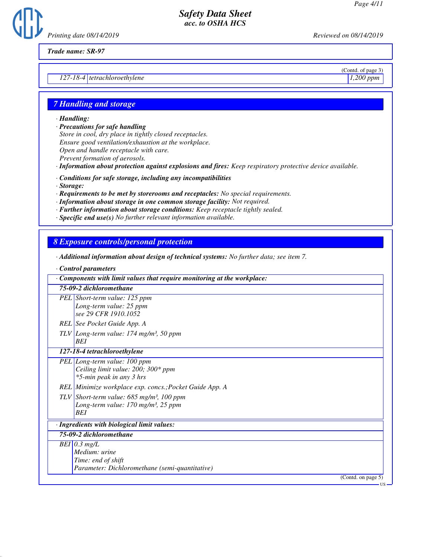

*Trade name: SR-97*

*127-18-4 tetrachloroethylene 1,200 ppm*

(Contd. of page 3)

US

#### *7 Handling and storage*

*· Handling:*

*· Precautions for safe handling*

*Store in cool, dry place in tightly closed receptacles. Ensure good ventilation/exhaustion at the workplace. Open and handle receptacle with care. Prevent formation of aerosols.*

- *· Information about protection against explosions and fires: Keep respiratory protective device available.*
- *· Conditions for safe storage, including any incompatibilities*
- *· Storage:*
- *· Requirements to be met by storerooms and receptacles: No special requirements.*
- *· Information about storage in one common storage facility: Not required.*
- *· Further information about storage conditions: Keep receptacle tightly sealed.*
- *· Specific end use(s) No further relevant information available.*

### *8 Exposure controls/personal protection*

- *· Additional information about design of technical systems: No further data; see item 7.*
- *· Control parameters*

| Components with limit values that require monitoring at the workplace:                                                       |  |
|------------------------------------------------------------------------------------------------------------------------------|--|
| 75-09-2 dichloromethane                                                                                                      |  |
| PEL Short-term value: 125 ppm<br>Long-term value: 25 ppm<br>see 29 CFR 1910, 1052                                            |  |
| REL See Pocket Guide App. A                                                                                                  |  |
| TLV Long-term value: 174 mg/m <sup>3</sup> , 50 ppm<br><b>BEI</b>                                                            |  |
| 127-18-4 tetrachloroethylene                                                                                                 |  |
| PEL Long-term value: 100 ppm<br>Ceiling limit value: 200; 300* ppm<br>*5-min peak in any 3 hrs                               |  |
| REL Minimize workplace exp. concs.; Pocket Guide App. A                                                                      |  |
| TLV Short-term value: $685$ mg/m <sup>3</sup> , 100 ppm<br>Long-term value: $170$ mg/m <sup>3</sup> , $25$ ppm<br><b>BEI</b> |  |
| · Ingredients with biological limit values:                                                                                  |  |
| 75-09-2 dichloromethane                                                                                                      |  |
| $BEI$ 0.3 mg/L<br>Medium: urine<br>Time: end of shift<br>Parameter: Dichloromethane (semi-quantitative)                      |  |
| (Contd. on page 5)                                                                                                           |  |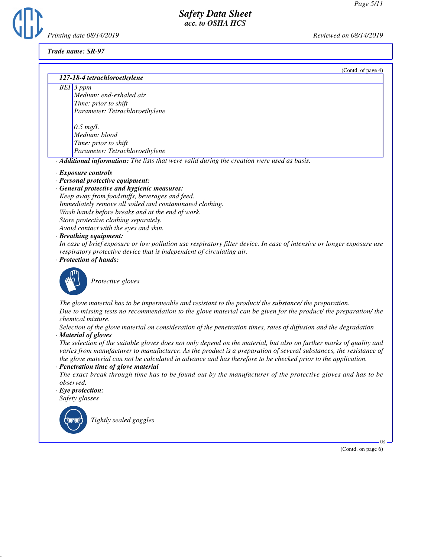(Contd. of page 4)

## *Safety Data Sheet acc. to OSHA HCS*



#### *Trade name: SR-97*

#### *127-18-4 tetrachloroethylene*

*BEI 3 ppm Medium: end-exhaled air Time: prior to shift Parameter: Tetrachloroethylene*

> *0.5 mg/L Medium: blood Time: prior to shift Parameter: Tetrachloroethylene*

*· Additional information: The lists that were valid during the creation were used as basis.*

*· Exposure controls*

*· Personal protective equipment:*

*· General protective and hygienic measures: Keep away from foodstuffs, beverages and feed. Immediately remove all soiled and contaminated clothing. Wash hands before breaks and at the end of work.*

*Store protective clothing separately.*

*Avoid contact with the eyes and skin.*

*· Breathing equipment:*

*In case of brief exposure or low pollution use respiratory filter device. In case of intensive or longer exposure use respiratory protective device that is independent of circulating air.*

*· Protection of hands:*



\_S*Protective gloves*

*The glove material has to be impermeable and resistant to the product/ the substance/ the preparation. Due to missing tests no recommendation to the glove material can be given for the product/ the preparation/ the chemical mixture.*

*Selection of the glove material on consideration of the penetration times, rates of diffusion and the degradation · Material of gloves*

*The selection of the suitable gloves does not only depend on the material, but also on further marks of quality and varies from manufacturer to manufacturer. As the product is a preparation of several substances, the resistance of the glove material can not be calculated in advance and has therefore to be checked prior to the application.*

*· Penetration time of glove material*

*The exact break through time has to be found out by the manufacturer of the protective gloves and has to be observed.*

*· Eye protection:*

*Safety glasses*



\_R*Tightly sealed goggles*

(Contd. on page 6)

US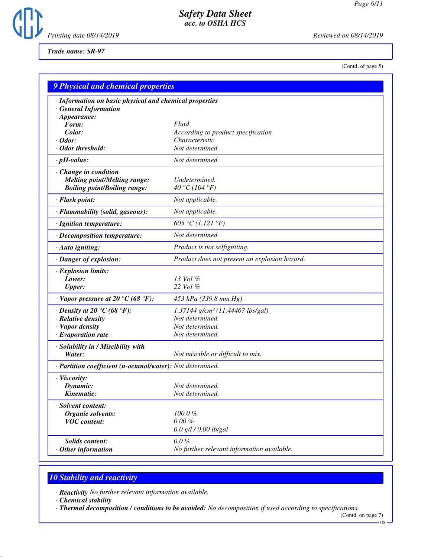

*Trade name: SR-97*

(Contd. of page 5)

| <b>9 Physical and chemical properties</b>                                                                    |                                                                                                       |
|--------------------------------------------------------------------------------------------------------------|-------------------------------------------------------------------------------------------------------|
| · Information on basic physical and chemical properties<br><b>General Information</b><br>$\cdot$ Appearance: |                                                                                                       |
| Form:                                                                                                        | Fluid                                                                                                 |
| Color:                                                                                                       | According to product specification                                                                    |
| $\cdot$ Odor:                                                                                                | Characteristic                                                                                        |
| · Odor threshold:                                                                                            | Not determined.                                                                                       |
| $\cdot$ pH-value:                                                                                            | Not determined.                                                                                       |
| Change in condition<br><b>Melting point/Melting range:</b><br><b>Boiling point/Boiling range:</b>            | Undetermined.<br>40 °C (104 °F)                                                                       |
| · Flash point:                                                                                               | Not applicable.                                                                                       |
| · Flammability (solid, gaseous):                                                                             | Not applicable.                                                                                       |
| · Ignition temperature:                                                                                      | 605 °C (1,121 °F)                                                                                     |
| · Decomposition temperature:                                                                                 | Not determined.                                                                                       |
| · Auto igniting:                                                                                             | Product is not selfigniting.                                                                          |
| · Danger of explosion:                                                                                       | Product does not present an explosion hazard.                                                         |
| · Explosion limits:<br>Lower:<br><b>Upper:</b>                                                               | 13 Vol %<br>22 Vol %                                                                                  |
| $\cdot$ Vapor pressure at 20 °C (68 °F):                                                                     | 453 hPa (339.8 mm Hg)                                                                                 |
| $\cdot$ Density at 20 °C (68 °F):<br>· Relative density<br>· Vapor density<br>$\cdot$ Evaporation rate       | 1.37144 g/cm <sup>3</sup> (11.44467 lbs/gal)<br>Not determined.<br>Not determined.<br>Not determined. |
| · Solubility in / Miscibility with<br>Water:                                                                 | Not miscible or difficult to mix.                                                                     |
| · Partition coefficient (n-octanol/water): Not determined.                                                   |                                                                                                       |
| · Viscosity:<br>Dynamic:<br>Kinematic:                                                                       | Not determined.<br>Not determined.                                                                    |
| Solvent content:<br><b>Organic solvents:</b><br><b>VOC</b> content:                                          | 100.0%<br>$0.00 \%$<br>$0.0$ g/l / $0.00$ lb/gal                                                      |
| <b>Solids content:</b><br>Other information                                                                  | $0.0 \%$<br>No further relevant information available.                                                |

# *10 Stability and reactivity*

*· Reactivity No further relevant information available.*

*· Chemical stability*

*· Thermal decomposition / conditions to be avoided: No decomposition if used according to specifications.*

(Contd. on page 7) US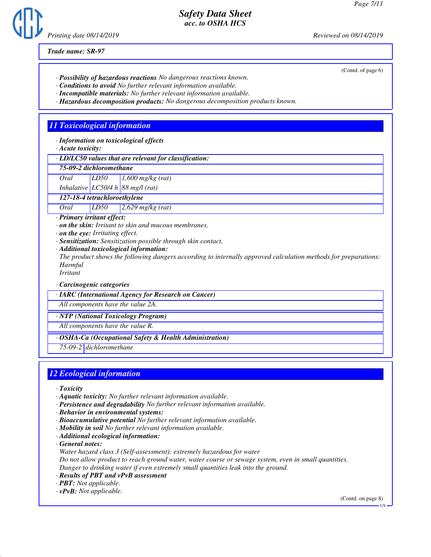*Printing date 08/14/2019 Reviewed on 08/14/2019*

*Trade name: SR-97*

- *· Possibility of hazardous reactions No dangerous reactions known.*
- *· Conditions to avoid No further relevant information available.*
- *· Incompatible materials: No further relevant information available.*
- *· Hazardous decomposition products: No dangerous decomposition products known.*

## *11 Toxicological information*

*· Information on toxicological effects*

*· Acute toxicity:*

*· LD/LC50 values that are relevant for classification:*

#### *75-09-2 dichloromethane*

*Oral LD50 1,600 mg/kg (rat)*

*Inhalative LC50/4 h 88 mg/l (rat)*

*127-18-4 tetrachloroethylene*

*Oral LD50 2,629 mg/kg (rat)*

*· Primary irritant effect:*

*· on the skin: Irritant to skin and mucous membranes.*

*· on the eye: Irritating effect.*

*· Sensitization: Sensitization possible through skin contact.*

*· Additional toxicological information:*

*The product shows the following dangers according to internally approved calculation methods for preparations: Harmful*

*Irritant*

*· Carcinogenic categories*

*· IARC (International Agency for Research on Cancer)*

*All components have the value 2A.*

*· NTP (National Toxicology Program)*

*All components have the value R.*

#### *· OSHA-Ca (Occupational Safety & Health Administration)*

*75-09-2 dichloromethane*

### *12 Ecological information*

*· Toxicity*

- *· Aquatic toxicity: No further relevant information available.*
- *· Persistence and degradability No further relevant information available.*
- *· Behavior in environmental systems:*
- *· Bioaccumulative potential No further relevant information available.*
- *· Mobility in soil No further relevant information available.*
- *· Additional ecological information:*

*· General notes:*

*Water hazard class 3 (Self-assessment): extremely hazardous for water*

*Do not allow product to reach ground water, water course or sewage system, even in small quantities. Danger to drinking water if even extremely small quantities leak into the ground.*

- *· Results of PBT and vPvB assessment*
- *· PBT: Not applicable.*

*· vPvB: Not applicable.*

(Contd. on page 8)

(Contd. of page 6)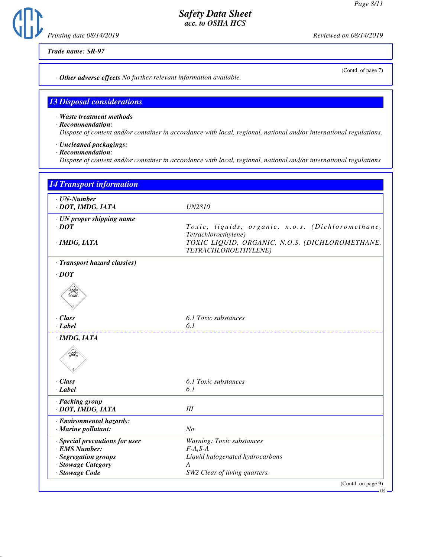*Printing date 08/14/2019 Reviewed on 08/14/2019*

*Trade name: SR-97*

(Contd. of page 7)

*· Other adverse effects No further relevant information available.*

# *13 Disposal considerations*

*· Waste treatment methods*

*· Recommendation:*

*Dispose of content and/or container in accordance with local, regional, national and/or international regulations.*

- *· Uncleaned packagings:*
- *· Recommendation:*

*Dispose of content and/or container in accordance with local, regional, national and/or international regulations*

| $\cdot$ UN-Number                               |                                                                           |
|-------------------------------------------------|---------------------------------------------------------------------------|
| · DOT, IMDG, IATA                               | <b>UN2810</b>                                                             |
| · UN proper shipping name                       |                                                                           |
| $\cdot$ DOT                                     | Toxic, liquids, organic, n.o.s. (Dichloromethane,<br>Tetrachloroethylene) |
| · IMDG, IATA                                    | TOXIC LIQUID, ORGANIC, N.O.S. (DICHLOROMETHANE,<br>TETRACHLOROETHYLENE)   |
| · Transport hazard class(es)                    |                                                                           |
| $\cdot$ DOT                                     |                                                                           |
| SEEP<br>TOXIC                                   |                                                                           |
| $\cdot$ Class                                   | 6.1 Toxic substances                                                      |
| $\cdot$ Label                                   | 6.1                                                                       |
| · IMDG, IATA                                    |                                                                           |
| $\cdot$ Class                                   | 6.1 Toxic substances                                                      |
| $\cdot$ Label                                   | 6.1                                                                       |
| · Packing group<br>· DOT, IMDG, IATA            | III                                                                       |
| · Environmental hazards:                        |                                                                           |
| $\cdot$ Marine pollutant:                       | N <sub>o</sub>                                                            |
| · Special precautions for user<br>· EMS Number: | Warning: Toxic substances<br>$F-A, S-A$                                   |
| · Segregation groups                            | Liquid halogenated hydrocarbons                                           |
| · Stowage Category                              | A                                                                         |
| · Stowage Code                                  | SW2 Clear of living quarters.                                             |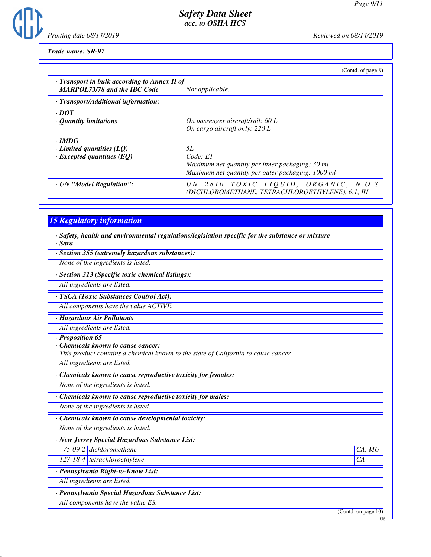*Printing date 08/14/2019 Reviewed on 08/14/2019*

*Trade name: SR-97*

| (Contd. of page 8)                                                                        |
|-------------------------------------------------------------------------------------------|
| $\cdot$ Transport in bulk according to Annex II of<br>Not applicable.                     |
|                                                                                           |
|                                                                                           |
|                                                                                           |
| On passenger aircraft/rail: 60 L                                                          |
| On cargo aircraft only: 220 L                                                             |
|                                                                                           |
| 5L                                                                                        |
| Code: E1                                                                                  |
| Maximum net quantity per inner packaging: 30 ml                                           |
| Maximum net quantity per outer packaging: 1000 ml                                         |
| UN 2810 TOXIC LIOUID, ORGANIC, N.O.S.<br>(DICHLOROMETHANE, TETRACHLOROETHYLENE), 6.1, III |
|                                                                                           |

# *15 Regulatory information*

*· Safety, health and environmental regulations/legislation specific for the substance or mixture · Sara*

*· Section 355 (extremely hazardous substances):*

*None of the ingredients is listed.*

*· Section 313 (Specific toxic chemical listings):*

*All ingredients are listed.*

*· TSCA (Toxic Substances Control Act):*

*All components have the value ACTIVE.*

*· Hazardous Air Pollutants*

*All ingredients are listed.*

*· Proposition 65*

*· Chemicals known to cause cancer:*

*This product contains a chemical known to the state of California to cause cancer*

*All ingredients are listed.*

*· Chemicals known to cause reproductive toxicity for females:*

*None of the ingredients is listed.*

*· Chemicals known to cause reproductive toxicity for males:*

*None of the ingredients is listed.*

*· Chemicals known to cause developmental toxicity:*

*None of the ingredients is listed.*

*· New Jersey Special Hazardous Substance List:*

*75-09-2 dichloromethane CA, MU*

*127-18-4 tetrachloroethylene CA*

*· Pennsylvania Right-to-Know List:*

*All ingredients are listed.*

*· Pennsylvania Special Hazardous Substance List:*

*All components have the value ES.*

(Contd. on page 10)

US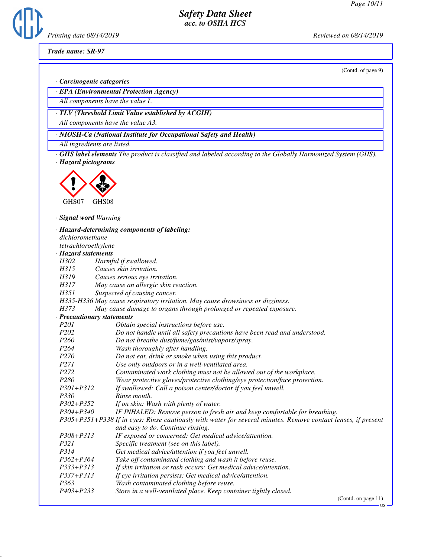*Printing date 08/14/2019 Reviewed on 08/14/2019*

*Trade name: SR-97*

(Contd. of page 9)

*· Carcinogenic categories*

*· EPA (Environmental Protection Agency)*

*All components have the value L.*

*· TLV (Threshold Limit Value established by ACGIH)*

*All components have the value A3.*

*· NIOSH-Ca (National Institute for Occupational Safety and Health)*

*All ingredients are listed.*

*· GHS label elements The product is classified and labeled according to the Globally Harmonized System (GHS). · Hazard pictograms*



*· Signal word Warning*

| dichloromethane     | · Hazard-determining components of labeling:                                                                  |  |  |
|---------------------|---------------------------------------------------------------------------------------------------------------|--|--|
| tetrachloroethylene |                                                                                                               |  |  |
| · Hazard statements |                                                                                                               |  |  |
| H302                | Harmful if swallowed.                                                                                         |  |  |
| H315                | Causes skin irritation.                                                                                       |  |  |
| H319                | Causes serious eye irritation.                                                                                |  |  |
| H317                | May cause an allergic skin reaction.                                                                          |  |  |
| H351                | Suspected of causing cancer.                                                                                  |  |  |
|                     | H335-H336 May cause respiratory irritation. May cause drowsiness or dizziness.                                |  |  |
| H373                | May cause damage to organs through prolonged or repeated exposure.                                            |  |  |
|                     | · Precautionary statements                                                                                    |  |  |
| P <sub>201</sub>    | Obtain special instructions before use.                                                                       |  |  |
| P <sub>202</sub>    | Do not handle until all safety precautions have been read and understood.                                     |  |  |
| P <sub>260</sub>    | Do not breathe dust/fume/gas/mist/vapors/spray.                                                               |  |  |
| P <sub>264</sub>    | Wash thoroughly after handling.                                                                               |  |  |
| P270                | Do not eat, drink or smoke when using this product.                                                           |  |  |
| P271                | Use only outdoors or in a well-ventilated area.                                                               |  |  |
| P272                | Contaminated work clothing must not be allowed out of the workplace.                                          |  |  |
| P <sub>280</sub>    | Wear protective gloves/protective clothing/eye protection/face protection.                                    |  |  |
| $P301 + P312$       | If swallowed: Call a poison center/doctor if you feel unwell.                                                 |  |  |
| P330                | Rinse mouth.                                                                                                  |  |  |
| $P302 + P352$       | If on skin: Wash with plenty of water.                                                                        |  |  |
| $P304 + P340$       | IF INHALED: Remove person to fresh air and keep comfortable for breathing.                                    |  |  |
|                     | P305+P351+P338 If in eyes: Rinse cautiously with water for several minutes. Remove contact lenses, if present |  |  |
|                     | and easy to do. Continue rinsing.                                                                             |  |  |
| $P308 + P313$       | IF exposed or concerned: Get medical advice/attention.                                                        |  |  |
| P321                | Specific treatment (see on this label).                                                                       |  |  |
| P314                | Get medical advice/attention if you feel unwell.                                                              |  |  |
| $P362 + P364$       | Take off contaminated clothing and wash it before reuse.                                                      |  |  |
| $P333 + P313$       | If skin irritation or rash occurs: Get medical advice/attention.                                              |  |  |
| $P337 + P313$       | If eye irritation persists: Get medical advice/attention.                                                     |  |  |
| P363                | Wash contaminated clothing before reuse.                                                                      |  |  |
| P403+P233           | Store in a well-ventilated place. Keep container tightly closed.                                              |  |  |
|                     | (Contd. on page 11)                                                                                           |  |  |

US